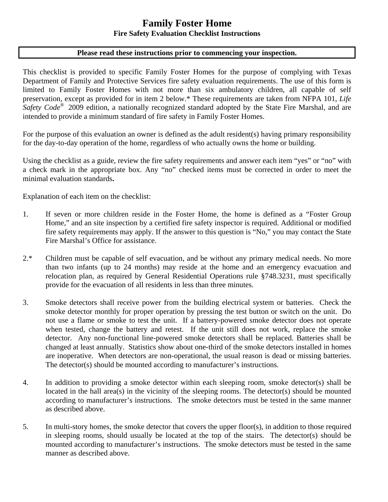# **Family Foster Home Fire Safety Evaluation Checklist Instructions**

### **Please read these instructions prior to commencing your inspection.**

This checklist is provided to specific Family Foster Homes for the purpose of complying with Texas Department of Family and Protective Services fire safety evaluation requirements. The use of this form is limited to Family Foster Homes with not more than six ambulatory children, all capable of self preservation, except as provided for in item 2 below.\* These requirements are taken from NFPA 101, *Life Safety Code*® 2009 edition, a nationally recognized standard adopted by the State Fire Marshal, and are intended to provide a minimum standard of fire safety in Family Foster Homes.

For the purpose of this evaluation an owner is defined as the adult resident(s) having primary responsibility for the day-to-day operation of the home, regardless of who actually owns the home or building.

Using the checklist as a guide, review the fire safety requirements and answer each item "yes" or "no" with a check mark in the appropriate box. Any "no" checked items must be corrected in order to meet the minimal evaluation standards**.** 

Explanation of each item on the checklist:

- 1. If seven or more children reside in the Foster Home, the home is defined as a "Foster Group Home," and an site inspection by a certified fire safety inspector is required. Additional or modified fire safety requirements may apply. If the answer to this question is "No," you may contact the State Fire Marshal's Office for assistance.
- 2.\* Children must be capable of self evacuation, and be without any primary medical needs. No more than two infants (up to 24 months) may reside at the home and an emergency evacuation and relocation plan, as required by General Residential Operations rule §748.3231, must specifically provide for the evacuation of all residents in less than three minutes.
- 3. Smoke detectors shall receive power from the building electrical system or batteries. Check the smoke detector monthly for proper operation by pressing the test button or switch on the unit. Do not use a flame or smoke to test the unit. If a battery-powered smoke detector does not operate when tested, change the battery and retest. If the unit still does not work, replace the smoke detector. Any non-functional line-powered smoke detectors shall be replaced. Batteries shall be changed at least annually. Statistics show about one-third of the smoke detectors installed in homes are inoperative. When detectors are non-operational, the usual reason is dead or missing batteries. The detector(s) should be mounted according to manufacturer's instructions.
- 4. In addition to providing a smoke detector within each sleeping room, smoke detector(s) shall be located in the hall area(s) in the vicinity of the sleeping rooms. The detector(s) should be mounted according to manufacturer's instructions. The smoke detectors must be tested in the same manner as described above.
- 5. In multi-story homes, the smoke detector that covers the upper floor(s), in addition to those required in sleeping rooms, should usually be located at the top of the stairs. The detector(s) should be mounted according to manufacturer's instructions. The smoke detectors must be tested in the same manner as described above.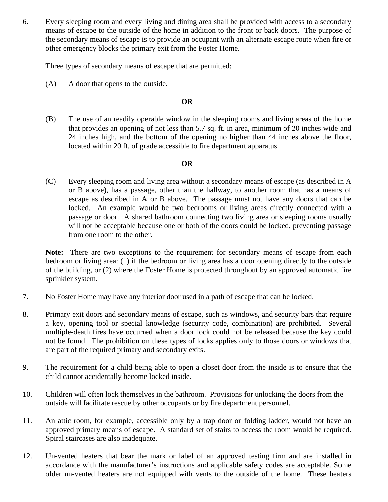6. Every sleeping room and every living and dining area shall be provided with access to a secondary means of escape to the outside of the home in addition to the front or back doors. The purpose of the secondary means of escape is to provide an occupant with an alternate escape route when fire or other emergency blocks the primary exit from the Foster Home.

Three types of secondary means of escape that are permitted:

(A) A door that opens to the outside.

## **OR**

(B) The use of an readily operable window in the sleeping rooms and living areas of the home that provides an opening of not less than 5.7 sq. ft. in area, minimum of 20 inches wide and 24 inches high, and the bottom of the opening no higher than 44 inches above the floor, located within 20 ft. of grade accessible to fire department apparatus.

### **OR**

(C) Every sleeping room and living area without a secondary means of escape (as described in A or B above), has a passage, other than the hallway, to another room that has a means of escape as described in A or B above. The passage must not have any doors that can be locked. An example would be two bedrooms or living areas directly connected with a passage or door. A shared bathroom connecting two living area or sleeping rooms usually will not be acceptable because one or both of the doors could be locked, preventing passage from one room to the other.

**Note:** There are two exceptions to the requirement for secondary means of escape from each bedroom or living area: (1) if the bedroom or living area has a door opening directly to the outside of the building, or (2) where the Foster Home is protected throughout by an approved automatic fire sprinkler system.

- 7. No Foster Home may have any interior door used in a path of escape that can be locked.
- 8. Primary exit doors and secondary means of escape, such as windows, and security bars that require a key, opening tool or special knowledge (security code, combination) are prohibited. Several multiple-death fires have occurred when a door lock could not be released because the key could not be found. The prohibition on these types of locks applies only to those doors or windows that are part of the required primary and secondary exits.
- 9. The requirement for a child being able to open a closet door from the inside is to ensure that the child cannot accidentally become locked inside.
- 10. Children will often lock themselves in the bathroom. Provisions for unlocking the doors from the outside will facilitate rescue by other occupants or by fire department personnel.
- 11. An attic room, for example, accessible only by a trap door or folding ladder, would not have an approved primary means of escape. A standard set of stairs to access the room would be required. Spiral staircases are also inadequate.
- 12. Un-vented heaters that bear the mark or label of an approved testing firm and are installed in accordance with the manufacturer's instructions and applicable safety codes are acceptable. Some older un-vented heaters are not equipped with vents to the outside of the home. These heaters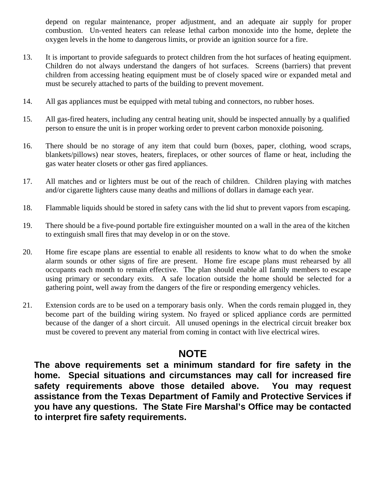depend on regular maintenance, proper adjustment, and an adequate air supply for proper combustion. Un-vented heaters can release lethal carbon monoxide into the home, deplete the oxygen levels in the home to dangerous limits, or provide an ignition source for a fire.

- 13. It is important to provide safeguards to protect children from the hot surfaces of heating equipment. Children do not always understand the dangers of hot surfaces. Screens (barriers) that prevent children from accessing heating equipment must be of closely spaced wire or expanded metal and must be securely attached to parts of the building to prevent movement.
- 14. All gas appliances must be equipped with metal tubing and connectors, no rubber hoses.
- 15. All gas-fired heaters, including any central heating unit, should be inspected annually by a qualified person to ensure the unit is in proper working order to prevent carbon monoxide poisoning.
- 16. There should be no storage of any item that could burn (boxes, paper, clothing, wood scraps, blankets/pillows) near stoves, heaters, fireplaces, or other sources of flame or heat, including the gas water heater closets or other gas fired appliances.
- 17. All matches and or lighters must be out of the reach of children. Children playing with matches and/or cigarette lighters cause many deaths and millions of dollars in damage each year.
- 18. Flammable liquids should be stored in safety cans with the lid shut to prevent vapors from escaping.
- 19. There should be a five-pound portable fire extinguisher mounted on a wall in the area of the kitchen to extinguish small fires that may develop in or on the stove.
- 20. Home fire escape plans are essential to enable all residents to know what to do when the smoke alarm sounds or other signs of fire are present. Home fire escape plans must rehearsed by all occupants each month to remain effective. The plan should enable all family members to escape using primary or secondary exits. A safe location outside the home should be selected for a gathering point, well away from the dangers of the fire or responding emergency vehicles.
- 21. Extension cords are to be used on a temporary basis only. When the cords remain plugged in, they become part of the building wiring system. No frayed or spliced appliance cords are permitted because of the danger of a short circuit. All unused openings in the electrical circuit breaker box must be covered to prevent any material from coming in contact with live electrical wires.

# **NOTE**

**The above requirements set a minimum standard for fire safety in the home. Special situations and circumstances may call for increased fire safety requirements above those detailed above. You may request assistance from the Texas Department of Family and Protective Services if you have any questions. The State Fire Marshal's Office may be contacted to interpret fire safety requirements.**